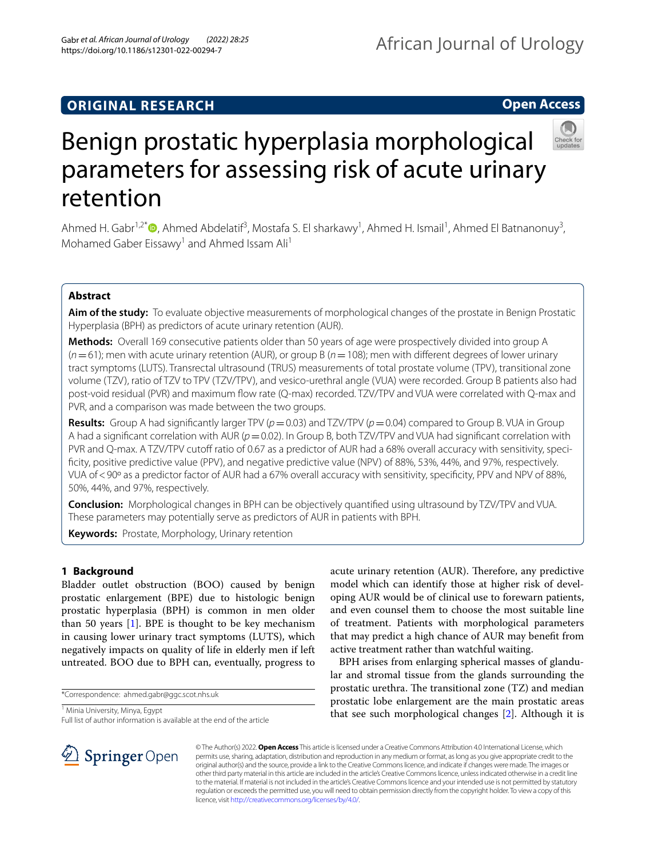## **ORIGINAL RESEARCH**

## **Open Access**



# Benign prostatic hyperplasia morphological parameters for assessing risk of acute urinary retention

Ahmed H. Gabr<sup>1[,](http://orcid.org/0000-0002-6026-955X)2\*</sup><sup>®</sup>, Ahmed Abdelatif<sup>3</sup>, Mostafa S. El sharkawy<sup>1</sup>, Ahmed H. Ismail<sup>1</sup>, Ahmed El Batnanonuy<sup>3</sup>, Mohamed Gaber Eissawy<sup>1</sup> and Ahmed Issam Ali<sup>1</sup>

## **Abstract**

**Aim of the study:** To evaluate objective measurements of morphological changes of the prostate in Benign Prostatic Hyperplasia (BPH) as predictors of acute urinary retention (AUR).

**Methods:** Overall 169 consecutive patients older than 50 years of age were prospectively divided into group A (*n*=61); men with acute urinary retention (AUR), or group B (*n*=108); men with diferent degrees of lower urinary tract symptoms (LUTS). Transrectal ultrasound (TRUS) measurements of total prostate volume (TPV), transitional zone volume (TZV), ratio of TZV to TPV (TZV/TPV), and vesico-urethral angle (VUA) were recorded. Group B patients also had post-void residual (PVR) and maximum fow rate (Q-max) recorded. TZV/TPV and VUA were correlated with Q-max and PVR, and a comparison was made between the two groups.

**Results:** Group A had significantly larger TPV ( $p = 0.03$ ) and TZV/TPV ( $p = 0.04$ ) compared to Group B. VUA in Group A had a significant correlation with AUR ( $p$  = 0.02). In Group B, both TZV/TPV and VUA had significant correlation with PVR and Q-max. A TZV/TPV cutoff ratio of 0.67 as a predictor of AUR had a 68% overall accuracy with sensitivity, specifcity, positive predictive value (PPV), and negative predictive value (NPV) of 88%, 53%, 44%, and 97%, respectively. VUA of < 90° as a predictor factor of AUR had a 67% overall accuracy with sensitivity, specificity, PPV and NPV of 88%, 50%, 44%, and 97%, respectively.

**Conclusion:** Morphological changes in BPH can be objectively quantifed using ultrasound by TZV/TPV and VUA. These parameters may potentially serve as predictors of AUR in patients with BPH.

**Keywords:** Prostate, Morphology, Urinary retention

## **1 Background**

Bladder outlet obstruction (BOO) caused by benign prostatic enlargement (BPE) due to histologic benign prostatic hyperplasia (BPH) is common in men older than 50 years [[1\]](#page-5-0). BPE is thought to be key mechanism in causing lower urinary tract symptoms (LUTS), which negatively impacts on quality of life in elderly men if left untreated. BOO due to BPH can, eventually, progress to

<sup>1</sup> Minia University, Minya, Egypt

oping AUR would be of clinical use to forewarn patients, and even counsel them to choose the most suitable line of treatment. Patients with morphological parameters that may predict a high chance of AUR may beneft from active treatment rather than watchful waiting. BPH arises from enlarging spherical masses of glandu-

lar and stromal tissue from the glands surrounding the prostatic urethra. The transitional zone (TZ) and median prostatic lobe enlargement are the main prostatic areas that see such morphological changes [\[2](#page-5-1)]. Although it is

acute urinary retention (AUR). Therefore, any predictive model which can identify those at higher risk of devel-



© The Author(s) 2022. **Open Access** This article is licensed under a Creative Commons Attribution 4.0 International License, which permits use, sharing, adaptation, distribution and reproduction in any medium or format, as long as you give appropriate credit to the original author(s) and the source, provide a link to the Creative Commons licence, and indicate if changes were made. The images or other third party material in this article are included in the article's Creative Commons licence, unless indicated otherwise in a credit line to the material. If material is not included in the article's Creative Commons licence and your intended use is not permitted by statutory regulation or exceeds the permitted use, you will need to obtain permission directly from the copyright holder. To view a copy of this licence, visit [http://creativecommons.org/licenses/by/4.0/.](http://creativecommons.org/licenses/by/4.0/)

<sup>\*</sup>Correspondence: ahmed.gabr@ggc.scot.nhs.uk

Full list of author information is available at the end of the article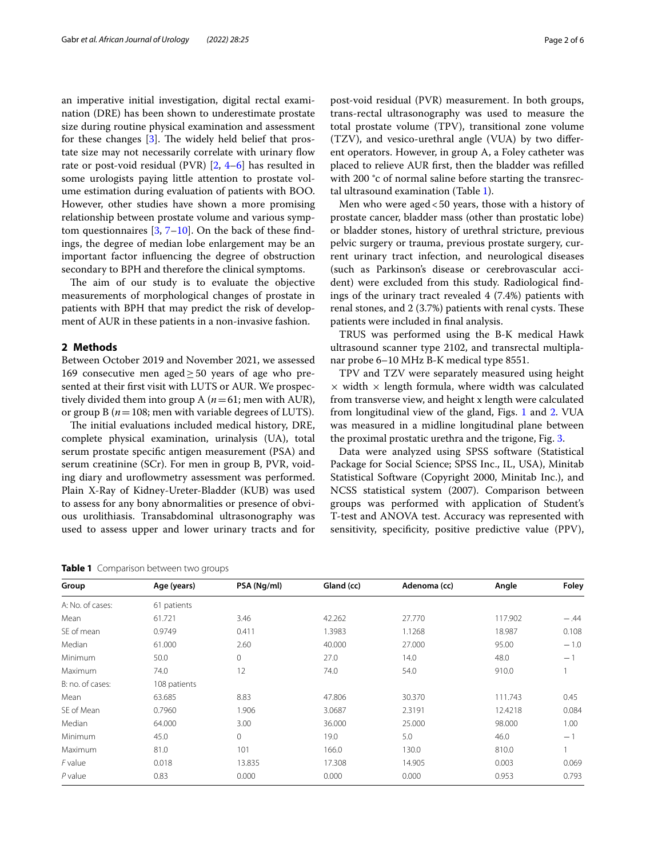an imperative initial investigation, digital rectal examination (DRE) has been shown to underestimate prostate size during routine physical examination and assessment for these changes  $[3]$  $[3]$ . The widely held belief that prostate size may not necessarily correlate with urinary flow rate or post-void residual (PVR) [[2,](#page-5-1) [4](#page-5-3)–[6\]](#page-5-4) has resulted in some urologists paying little attention to prostate volume estimation during evaluation of patients with BOO. However, other studies have shown a more promising relationship between prostate volume and various symptom questionnaires  $[3, 7-10]$  $[3, 7-10]$  $[3, 7-10]$  $[3, 7-10]$ . On the back of these findings, the degree of median lobe enlargement may be an important factor infuencing the degree of obstruction secondary to BPH and therefore the clinical symptoms.

The aim of our study is to evaluate the objective measurements of morphological changes of prostate in patients with BPH that may predict the risk of development of AUR in these patients in a non-invasive fashion.

#### **2 Methods**

Between October 2019 and November 2021, we assessed 169 consecutive men aged  $\geq$  50 years of age who presented at their frst visit with LUTS or AUR. We prospectively divided them into group A ( $n=61$ ; men with AUR), or group B ( $n = 108$ ; men with variable degrees of LUTS).

The initial evaluations included medical history, DRE, complete physical examination, urinalysis (UA), total serum prostate specifc antigen measurement (PSA) and serum creatinine (SCr). For men in group B, PVR, voiding diary and uroflowmetry assessment was performed. Plain X-Ray of Kidney-Ureter-Bladder (KUB) was used to assess for any bony abnormalities or presence of obvious urolithiasis. Transabdominal ultrasonography was used to assess upper and lower urinary tracts and for post-void residual (PVR) measurement. In both groups, trans-rectal ultrasonography was used to measure the total prostate volume (TPV), transitional zone volume (TZV), and vesico-urethral angle (VUA) by two diferent operators. However, in group A, a Foley catheter was placed to relieve AUR frst, then the bladder was reflled with 200 °c of normal saline before starting the transrectal ultrasound examination (Table [1](#page-1-0)).

Men who were aged < 50 years, those with a history of prostate cancer, bladder mass (other than prostatic lobe) or bladder stones, history of urethral stricture, previous pelvic surgery or trauma, previous prostate surgery, current urinary tract infection, and neurological diseases (such as Parkinson's disease or cerebrovascular accident) were excluded from this study. Radiological fndings of the urinary tract revealed 4 (7.4%) patients with renal stones, and  $2(3.7%)$  patients with renal cysts. These patients were included in fnal analysis.

TRUS was performed using the B-K medical Hawk ultrasound scanner type 2102, and transrectal multiplanar probe 6–10 MHz B-K medical type 8551.

TPV and TZV were separately measured using height  $\times$  width  $\times$  length formula, where width was calculated from transverse view, and height x length were calculated from longitudinal view of the gland, Figs. [1](#page-2-0) and [2](#page-2-1). VUA was measured in a midline longitudinal plane between the proximal prostatic urethra and the trigone, Fig. [3.](#page-3-0)

Data were analyzed using SPSS software (Statistical Package for Social Science; SPSS Inc., IL, USA), Minitab Statistical Software (Copyright 2000, Minitab Inc.), and NCSS statistical system (2007). Comparison between groups was performed with application of Student's T-test and ANOVA test. Accuracy was represented with sensitivity, specificity, positive predictive value (PPV),

<span id="page-1-0"></span>

| <b>Table 1</b> Comparison between two groups |  |
|----------------------------------------------|--|
|----------------------------------------------|--|

| Group            | Age (years)  | PSA (Ng/ml)  | Gland (cc) | Adenoma (cc) | Angle   | Foley  |
|------------------|--------------|--------------|------------|--------------|---------|--------|
| A: No. of cases: | 61 patients  |              |            |              |         |        |
| Mean             | 61.721       | 3.46         | 42.262     | 27.770       | 117.902 | $-.44$ |
| SE of mean       | 0.9749       | 0.411        | 1.3983     | 1.1268       | 18.987  | 0.108  |
| Median           | 61.000       | 2.60         | 40.000     | 27,000       | 95.00   | $-1.0$ |
| Minimum          | 50.0         | 0            | 27.0       | 14.0         | 48.0    | $-1$   |
| Maximum          | 74.0         | 12           | 74.0       | 54.0         | 910.0   |        |
| B: no. of cases: | 108 patients |              |            |              |         |        |
| Mean             | 63.685       | 8.83         | 47.806     | 30.370       | 111.743 | 0.45   |
| SE of Mean       | 0.7960       | 1.906        | 3.0687     | 2.3191       | 12.4218 | 0.084  |
| Median           | 64.000       | 3.00         | 36.000     | 25.000       | 98.000  | 1.00   |
| Minimum          | 45.0         | $\mathbf{0}$ | 19.0       | 5.0          | 46.0    | $-1$   |
| Maximum          | 81.0         | 101          | 166.0      | 130.0        | 810.0   |        |
| $F$ value        | 0.018        | 13.835       | 17.308     | 14.905       | 0.003   | 0.069  |
| $P$ value        | 0.83         | 0.000        | 0.000      | 0.000        | 0.953   | 0.793  |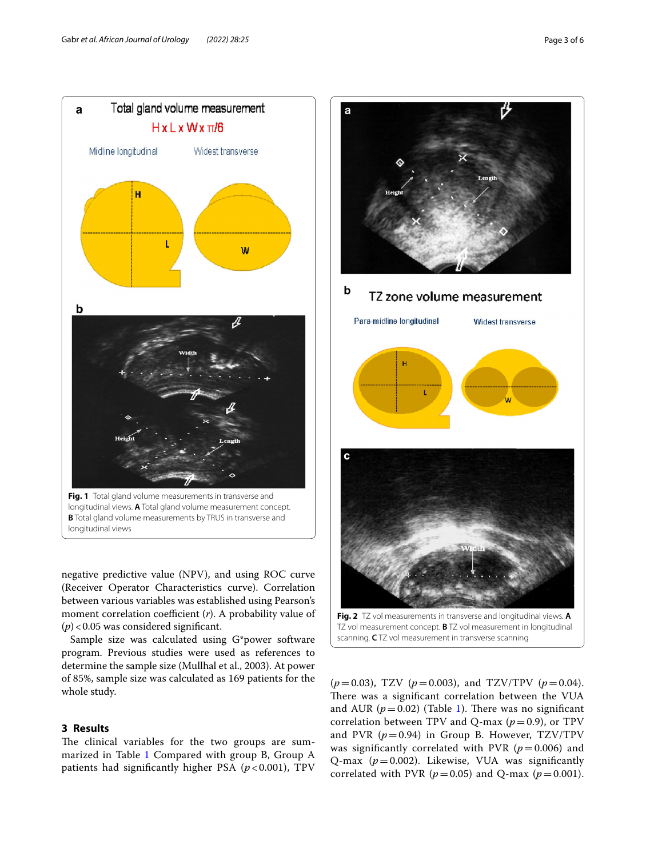

<span id="page-2-0"></span>negative predictive value (NPV), and using ROC curve (Receiver Operator Characteristics curve). Correlation between various variables was established using Pearson's moment correlation coefficient (*r*). A probability value of  $(p)$  < 0.05 was considered significant.

Sample size was calculated using G\*power software program. Previous studies were used as references to determine the sample size (Mullhal et al., 2003). At power of 85%, sample size was calculated as 169 patients for the whole study.

## **3 Results**

The clinical variables for the two groups are sum-marized in Table [1](#page-1-0) Compared with group B, Group A patients had signifcantly higher PSA (*p* < 0.001), TPV



<span id="page-2-1"></span> $(p=0.03)$ , TZV  $(p=0.003)$ , and TZV/TPV  $(p=0.04)$ . There was a significant correlation between the VUA and AUR  $(p=0.02)$  (Table [1](#page-1-0)). There was no significant correlation between TPV and Q-max  $(p=0.9)$ , or TPV and PVR  $(p=0.94)$  in Group B. However, TZV/TPV was significantly correlated with PVR  $(p=0.006)$  and Q-max (*p*=0.002). Likewise, VUA was signifcantly correlated with PVR ( $p = 0.05$ ) and Q-max ( $p = 0.001$ ).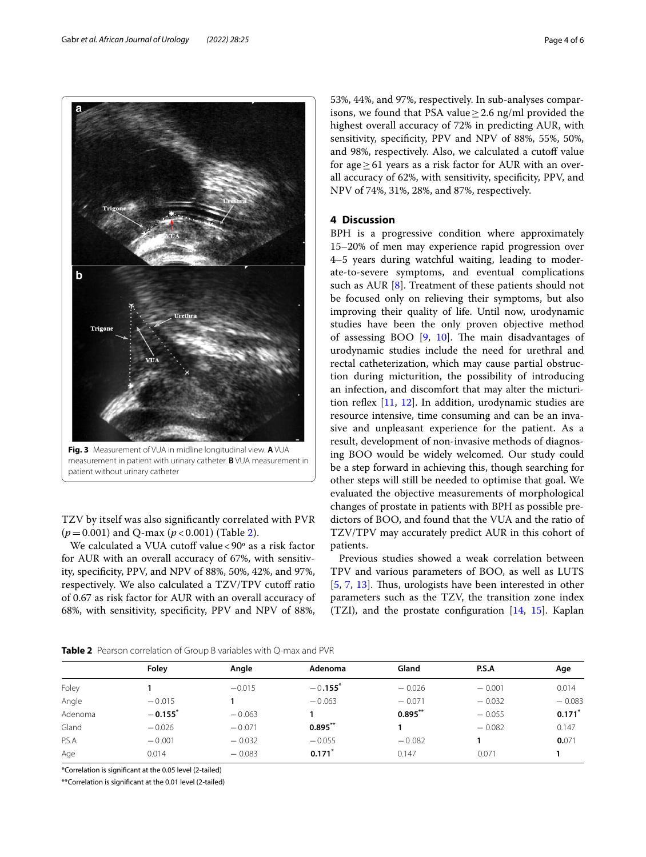<span id="page-3-0"></span>TZV by itself was also signifcantly correlated with PVR (*p*=0.001) and Q-max (*p* < 0.001) (Table [2](#page-3-1)).

We calculated a VUA cutoff value < 90° as a risk factor for AUR with an overall accuracy of 67%, with sensitivity, specifcity, PPV, and NPV of 88%, 50%, 42%, and 97%, respectively. We also calculated a TZV/TPV cutoff ratio of 0.67 as risk factor for AUR with an overall accuracy of 68%, with sensitivity, specifcity, PPV and NPV of 88%, 53%, 44%, and 97%, respectively. In sub-analyses comparisons, we found that PSA value  $\geq$  2.6 ng/ml provided the highest overall accuracy of 72% in predicting AUR, with sensitivity, specifcity, PPV and NPV of 88%, 55%, 50%, and 98%, respectively. Also, we calculated a cutoff value for age  $\geq$  61 years as a risk factor for AUR with an overall accuracy of 62%, with sensitivity, specifcity, PPV, and NPV of 74%, 31%, 28%, and 87%, respectively.

### **4 Discussion**

BPH is a progressive condition where approximately 15–20% of men may experience rapid progression over 4–5 years during watchful waiting, leading to moderate-to-severe symptoms, and eventual complications such as AUR [\[8\]](#page-5-7). Treatment of these patients should not be focused only on relieving their symptoms, but also improving their quality of life. Until now, urodynamic studies have been the only proven objective method of assessing BOO  $[9, 10]$  $[9, 10]$  $[9, 10]$  $[9, 10]$ . The main disadvantages of urodynamic studies include the need for urethral and rectal catheterization, which may cause partial obstruction during micturition, the possibility of introducing an infection, and discomfort that may alter the micturition refex [\[11](#page-5-9), [12\]](#page-5-10). In addition, urodynamic studies are resource intensive, time consuming and can be an invasive and unpleasant experience for the patient. As a result, development of non-invasive methods of diagnosing BOO would be widely welcomed. Our study could be a step forward in achieving this, though searching for other steps will still be needed to optimise that goal. We evaluated the objective measurements of morphological changes of prostate in patients with BPH as possible predictors of BOO, and found that the VUA and the ratio of TZV/TPV may accurately predict AUR in this cohort of patients.

Previous studies showed a weak correlation between TPV and various parameters of BOO, as well as LUTS [[5,](#page-5-11) [7](#page-5-5), [13](#page-5-12)]. Thus, urologists have been interested in other parameters such as the TZV, the transition zone index (TZI), and the prostate configuration  $[14, 15]$  $[14, 15]$  $[14, 15]$ . Kaplan

<span id="page-3-1"></span>

|         | Folev                 | Angle    | Adenoma               | Gland      | P.S.A    | Age                  |
|---------|-----------------------|----------|-----------------------|------------|----------|----------------------|
| Foley   |                       | $-0.015$ | $-0.155$ <sup>*</sup> | $-0.026$   | $-0.001$ | 0.014                |
| Angle   | $-0.015$              |          | $-0.063$              | $-0.071$   | $-0.032$ | $-0.083$             |
| Adenoma | $-0.155$ <sup>*</sup> | $-0.063$ |                       | $0.895***$ | $-0.055$ | $0.171$ <sup>*</sup> |
| Gland   | $-0.026$              | $-0.071$ | $0.895***$            |            | $-0.082$ | 0.147                |
| P.S.A   | $-0.001$              | $-0.032$ | $-0.055$              | $-0.082$   |          | 0.071                |
| Age     | 0.014                 | $-0.083$ | $0.171$ <sup>*</sup>  | 0.147      | 0.071    |                      |

\*Correlation is signifcant at the 0.05 level (2-tailed)

\*\*Correlation is signifcant at the 0.01 level (2-tailed)

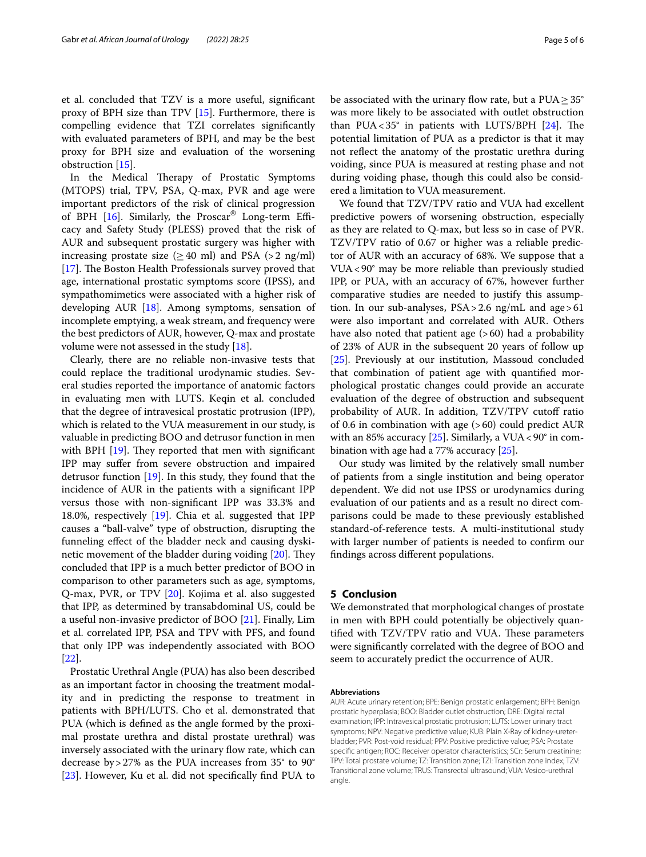et al. concluded that TZV is a more useful, signifcant proxy of BPH size than TPV [\[15\]](#page-5-14). Furthermore, there is compelling evidence that TZI correlates signifcantly with evaluated parameters of BPH, and may be the best proxy for BPH size and evaluation of the worsening obstruction [[15\]](#page-5-14).

In the Medical Therapy of Prostatic Symptoms (MTOPS) trial, TPV, PSA, Q-max, PVR and age were important predictors of the risk of clinical progression of BPH  $[16]$  $[16]$ . Similarly, the Proscar<sup>®</sup> Long-term Efficacy and Safety Study (PLESS) proved that the risk of AUR and subsequent prostatic surgery was higher with increasing prostate size ( $\geq$  40 ml) and PSA (> 2 ng/ml) [[17\]](#page-5-16). The Boston Health Professionals survey proved that age, international prostatic symptoms score (IPSS), and sympathomimetics were associated with a higher risk of developing AUR [\[18](#page-5-17)]. Among symptoms, sensation of incomplete emptying, a weak stream, and frequency were the best predictors of AUR, however, Q-max and prostate volume were not assessed in the study [\[18\]](#page-5-17).

Clearly, there are no reliable non-invasive tests that could replace the traditional urodynamic studies. Several studies reported the importance of anatomic factors in evaluating men with LUTS. Keqin et al. concluded that the degree of intravesical prostatic protrusion (IPP), which is related to the VUA measurement in our study, is valuable in predicting BOO and detrusor function in men with BPH  $[19]$ . They reported that men with significant IPP may sufer from severe obstruction and impaired detrusor function [[19\]](#page-5-18). In this study, they found that the incidence of AUR in the patients with a signifcant IPP versus those with non-signifcant IPP was 33.3% and 18.0%, respectively [[19\]](#page-5-18). Chia et al. suggested that IPP causes a "ball-valve" type of obstruction, disrupting the funneling efect of the bladder neck and causing dyski-netic movement of the bladder during voiding [[20](#page-5-19)]. They concluded that IPP is a much better predictor of BOO in comparison to other parameters such as age, symptoms, Q-max, PVR, or TPV [[20\]](#page-5-19). Kojima et al. also suggested that IPP, as determined by transabdominal US, could be a useful non-invasive predictor of BOO [[21\]](#page-5-20). Finally, Lim et al. correlated IPP, PSA and TPV with PFS, and found that only IPP was independently associated with BOO [[22\]](#page-5-21).

Prostatic Urethral Angle (PUA) has also been described as an important factor in choosing the treatment modality and in predicting the response to treatment in patients with BPH/LUTS. Cho et al. demonstrated that PUA (which is defned as the angle formed by the proximal prostate urethra and distal prostate urethral) was inversely associated with the urinary flow rate, which can decrease by>27% as the PUA increases from 35° to 90° [[23\]](#page-5-22). However, Ku et al. did not specifcally fnd PUA to be associated with the urinary flow rate, but a  $\text{PUA} \geq 35^{\circ}$ was more likely to be associated with outlet obstruction than PUA <  $35^\circ$  in patients with LUTS/BPH  $[24]$  $[24]$ . The potential limitation of PUA as a predictor is that it may not refect the anatomy of the prostatic urethra during voiding, since PUA is measured at resting phase and not during voiding phase, though this could also be considered a limitation to VUA measurement.

We found that TZV/TPV ratio and VUA had excellent predictive powers of worsening obstruction, especially as they are related to Q-max, but less so in case of PVR. TZV/TPV ratio of 0.67 or higher was a reliable predictor of AUR with an accuracy of 68%. We suppose that a VUA<90° may be more reliable than previously studied IPP, or PUA, with an accuracy of 67%, however further comparative studies are needed to justify this assumption. In our sub-analyses,  $PSA > 2.6$  ng/mL and age  $> 61$ were also important and correlated with AUR. Others have also noted that patient age  $(>60)$  had a probability of 23% of AUR in the subsequent 20 years of follow up [[25\]](#page-5-24). Previously at our institution, Massoud concluded that combination of patient age with quantifed morphological prostatic changes could provide an accurate evaluation of the degree of obstruction and subsequent probability of AUR. In addition, TZV/TPV cutoff ratio of 0.6 in combination with age (>60) could predict AUR with an 85% accuracy [\[25](#page-5-24)]. Similarly, a VUA <  $90^\circ$  in combination with age had a 77% accuracy [\[25](#page-5-24)].

Our study was limited by the relatively small number of patients from a single institution and being operator dependent. We did not use IPSS or urodynamics during evaluation of our patients and as a result no direct comparisons could be made to these previously established standard-of-reference tests. A multi-institutional study with larger number of patients is needed to confrm our fndings across diferent populations.

#### **5 Conclusion**

We demonstrated that morphological changes of prostate in men with BPH could potentially be objectively quantified with TZV/TPV ratio and VUA. These parameters were signifcantly correlated with the degree of BOO and seem to accurately predict the occurrence of AUR.

#### **Abbreviations**

AUR: Acute urinary retention; BPE: Benign prostatic enlargement; BPH: Benign prostatic hyperplasia; BOO: Bladder outlet obstruction; DRE: Digital rectal examination; IPP: Intravesical prostatic protrusion; LUTS: Lower urinary tract symptoms; NPV: Negative predictive value; KUB: Plain X-Ray of kidney-ureterbladder; PVR: Post-void residual; PPV: Positive predictive value; PSA: Prostate specifc antigen; ROC: Receiver operator characteristics; SCr: Serum creatinine; TPV: Total prostate volume; TZ: Transition zone; TZI: Transition zone index; TZV: Transitional zone volume; TRUS: Transrectal ultrasound; VUA: Vesico-urethral angle.